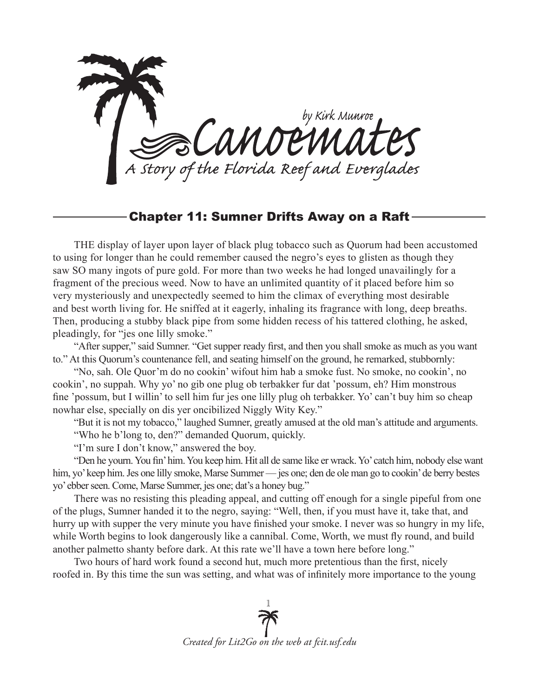

## Chapter 11: Sumner Drifts Away on a Raft

THE display of layer upon layer of black plug tobacco such as Quorum had been accustomed to using for longer than he could remember caused the negro's eyes to glisten as though they saw SO many ingots of pure gold. For more than two weeks he had longed unavailingly for a fragment of the precious weed. Now to have an unlimited quantity of it placed before him so very mysteriously and unexpectedly seemed to him the climax of everything most desirable and best worth living for. He sniffed at it eagerly, inhaling its fragrance with long, deep breaths. Then, producing a stubby black pipe from some hidden recess of his tattered clothing, he asked, pleadingly, for "jes one lilly smoke."

"After supper," said Sumner. "Get supper ready first, and then you shall smoke as much as you want to." At this Quorum's countenance fell, and seating himself on the ground, he remarked, stubbornly:

"No, sah. Ole Quor'm do no cookin' wifout him hab a smoke fust. No smoke, no cookin', no cookin', no suppah. Why yo' no gib one plug ob terbakker fur dat 'possum, eh? Him monstrous fine 'possum, but I willin' to sell him fur jes one lilly plug oh terbakker. Yo' can't buy him so cheap nowhar else, specially on dis yer oncibilized Niggly Wity Key."

"But it is not my tobacco," laughed Sumner, greatly amused at the old man's attitude and arguments. "Who he b'long to, den?" demanded Quorum, quickly.

"I'm sure I don't know," answered the boy.

"Den he yourn. You fin' him. You keep him. Hit all de same like er wrack. Yo' catch him, nobody else want him, yo' keep him. Jes one lilly smoke, Marse Summer — jes one; den de ole man go to cookin' de berry bestes yo' ebber seen. Come, Marse Summer, jes one; dat's a honey bug."

There was no resisting this pleading appeal, and cutting off enough for a single pipeful from one of the plugs, Sumner handed it to the negro, saying: "Well, then, if you must have it, take that, and hurry up with supper the very minute you have finished your smoke. I never was so hungry in my life, while Worth begins to look dangerously like a cannibal. Come, Worth, we must fly round, and build another palmetto shanty before dark. At this rate we'll have a town here before long."

Two hours of hard work found a second hut, much more pretentious than the first, nicely roofed in. By this time the sun was setting, and what was of infinitely more importance to the young

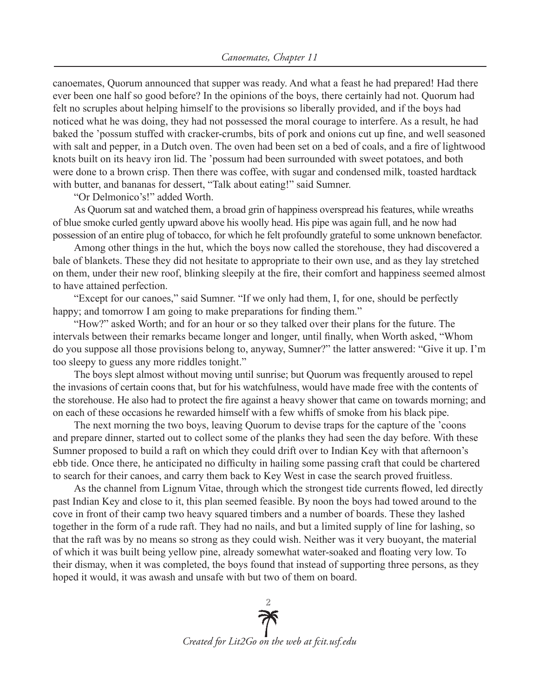canoemates, Quorum announced that supper was ready. And what a feast he had prepared! Had there ever been one half so good before? In the opinions of the boys, there certainly had not. Quorum had felt no scruples about helping himself to the provisions so liberally provided, and if the boys had noticed what he was doing, they had not possessed the moral courage to interfere. As a result, he had baked the 'possum stuffed with cracker-crumbs, bits of pork and onions cut up fine, and well seasoned with salt and pepper, in a Dutch oven. The oven had been set on a bed of coals, and a fire of lightwood knots built on its heavy iron lid. The 'possum had been surrounded with sweet potatoes, and both were done to a brown crisp. Then there was coffee, with sugar and condensed milk, toasted hardtack with butter, and bananas for dessert, "Talk about eating!" said Sumner.

"Or Delmonico's!" added Worth.

As Quorum sat and watched them, a broad grin of happiness overspread his features, while wreaths of blue smoke curled gently upward above his woolly head. His pipe was again full, and he now had possession of an entire plug of tobacco, for which he felt profoundly grateful to some unknown benefactor.

Among other things in the hut, which the boys now called the storehouse, they had discovered a bale of blankets. These they did not hesitate to appropriate to their own use, and as they lay stretched on them, under their new roof, blinking sleepily at the fire, their comfort and happiness seemed almost to have attained perfection.

"Except for our canoes," said Sumner. "If we only had them, I, for one, should be perfectly happy; and tomorrow I am going to make preparations for finding them."

"How?" asked Worth; and for an hour or so they talked over their plans for the future. The intervals between their remarks became longer and longer, until finally, when Worth asked, "Whom do you suppose all those provisions belong to, anyway, Sumner?" the latter answered: "Give it up. I'm too sleepy to guess any more riddles tonight."

The boys slept almost without moving until sunrise; but Quorum was frequently aroused to repel the invasions of certain coons that, but for his watchfulness, would have made free with the contents of the storehouse. He also had to protect the fire against a heavy shower that came on towards morning; and on each of these occasions he rewarded himself with a few whiffs of smoke from his black pipe.

The next morning the two boys, leaving Quorum to devise traps for the capture of the 'coons and prepare dinner, started out to collect some of the planks they had seen the day before. With these Sumner proposed to build a raft on which they could drift over to Indian Key with that afternoon's ebb tide. Once there, he anticipated no difficulty in hailing some passing craft that could be chartered to search for their canoes, and carry them back to Key West in case the search proved fruitless.

As the channel from Lignum Vitae, through which the strongest tide currents flowed, led directly past Indian Key and close to it, this plan seemed feasible. By noon the boys had towed around to the cove in front of their camp two heavy squared timbers and a number of boards. These they lashed together in the form of a rude raft. They had no nails, and but a limited supply of line for lashing, so that the raft was by no means so strong as they could wish. Neither was it very buoyant, the material of which it was built being yellow pine, already somewhat water-soaked and floating very low. To their dismay, when it was completed, the boys found that instead of supporting three persons, as they hoped it would, it was awash and unsafe with but two of them on board.